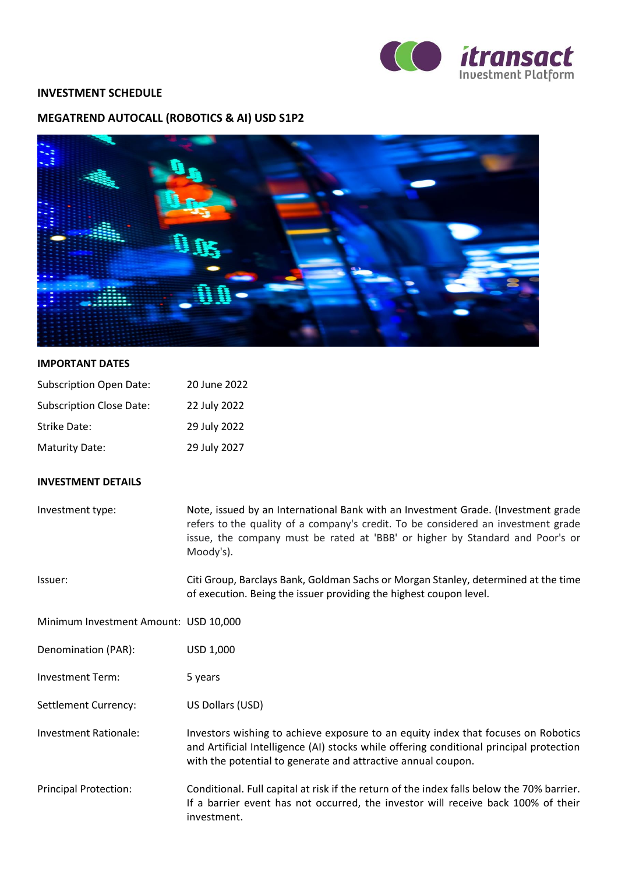

## **INVESTMENT SCHEDULE**

## **MEGATREND AUTOCALL (ROBOTICS & AI) USD S1P2**



## **IMPORTANT DATES**

| <b>Subscription Open Date:</b>  | 20 June 2022 |
|---------------------------------|--------------|
| <b>Subscription Close Date:</b> | 22 July 2022 |
| Strike Date:                    | 29 July 2022 |
| <b>Maturity Date:</b>           | 29 July 2027 |

## **INVESTMENT DETAILS**

| Investment type:                      | Note, issued by an International Bank with an Investment Grade. (Investment grade<br>refers to the quality of a company's credit. To be considered an investment grade<br>issue, the company must be rated at 'BBB' or higher by Standard and Poor's or<br>Moody's). |
|---------------------------------------|----------------------------------------------------------------------------------------------------------------------------------------------------------------------------------------------------------------------------------------------------------------------|
| Issuer:                               | Citi Group, Barclays Bank, Goldman Sachs or Morgan Stanley, determined at the time<br>of execution. Being the issuer providing the highest coupon level.                                                                                                             |
| Minimum Investment Amount: USD 10,000 |                                                                                                                                                                                                                                                                      |
| Denomination (PAR):                   | USD 1,000                                                                                                                                                                                                                                                            |
| <b>Investment Term:</b>               | 5 years                                                                                                                                                                                                                                                              |
| Settlement Currency:                  | US Dollars (USD)                                                                                                                                                                                                                                                     |
| Investment Rationale:                 | Investors wishing to achieve exposure to an equity index that focuses on Robotics<br>and Artificial Intelligence (AI) stocks while offering conditional principal protection<br>with the potential to generate and attractive annual coupon.                         |
| <b>Principal Protection:</b>          | Conditional. Full capital at risk if the return of the index falls below the 70% barrier.<br>If a barrier event has not occurred, the investor will receive back 100% of their<br>investment.                                                                        |